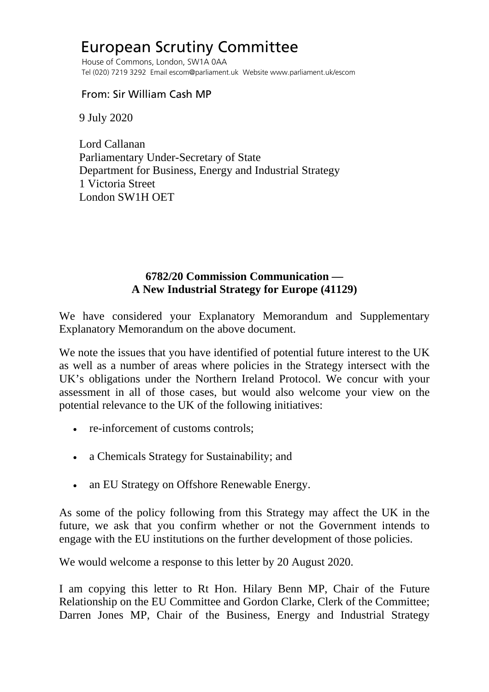## European Scrutiny Committee

 House of Commons, London, SW1A 0AA Tel (020) 7219 3292 Email escom@parliament.uk Website www.parliament.uk/escom

From: Sir William Cash MP

9 July 2020

 Lord Callanan Parliamentary Under-Secretary of State Department for Business, Energy and Industrial Strategy 1 Victoria Street London SW1H OET

## **6782/20 Commission Communication — A New Industrial Strategy for Europe (41129)**

We have considered your Explanatory Memorandum and Supplementary Explanatory Memorandum on the above document.

We note the issues that you have identified of potential future interest to the UK as well as a number of areas where policies in the Strategy intersect with the UK's obligations under the Northern Ireland Protocol. We concur with your assessment in all of those cases, but would also welcome your view on the potential relevance to the UK of the following initiatives:

- re-inforcement of customs controls:
- a Chemicals Strategy for Sustainability; and
- an EU Strategy on Offshore Renewable Energy.

As some of the policy following from this Strategy may affect the UK in the future, we ask that you confirm whether or not the Government intends to engage with the EU institutions on the further development of those policies.

We would welcome a response to this letter by 20 August 2020.

I am copying this letter to Rt Hon. Hilary Benn MP, Chair of the Future Relationship on the EU Committee and Gordon Clarke, Clerk of the Committee; Darren Jones MP, Chair of the Business, Energy and Industrial Strategy